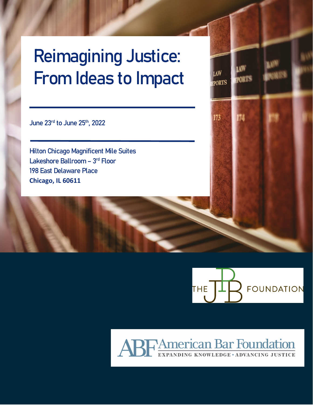## Reimagining Justice: From Ideas to Impact

June 23rd to June 25<sup>th</sup>, 2022

Ĩ

Hilton Chicago Magnificent Mile Suites Lakeshore Ballroom - 3rd Floor 198 East Delaware Place **Chicago, IL 60611**



# ABF American Bar Foundation

LAW

173

**FPORTS** 

**PORTS**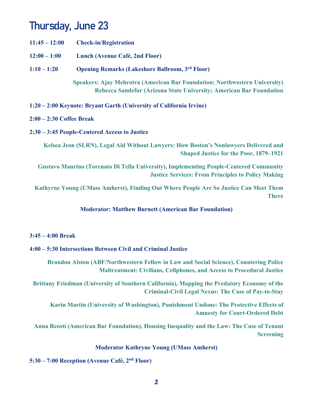## Thursday, June 23

- **11:45 12:00 Check-in/Registration**
- **12:00 1:00 Lunch (Avenue Café, 2nd Floor)**
- **1:10 1:20 Opening Remarks (Lakeshore Ballroom, 3rd Floor)**

**Speakers: Ajay Mehrotra (American Bar Foundation; Northwestern University) Rebecca Sandefur (Arizona State University; American Bar Foundation** 

**1:20 – 2:00 Keynote: Bryant Garth (University of California Irvine)** 

#### **2:00 – 2:30 Coffee Break**

**2:30 – 3:45 People-Centered Access to Justice** 

**Kelsea Jeon (SLRN), Legal Aid Without Lawyers: How Boston's Nonlawyers Delivered and Shaped Justice for the Poor, 1879–1921** 

**Gustavo Maurino (Torcuato Di Tella University), Implementing People-Centered Community Justice Services: From Principles to Policy Making** 

**Kathyrne Young (UMass Amherst), Finding Out Where People Are So Justice Can Meet Them There** 

#### **Moderator: Matthew Burnett (American Bar Foundation)**

#### **3:45 – 4:00 Break**

#### **4:00 – 5:30 Intersections Between Civil and Criminal Justice**

**Brandon Alston (ABF/Northwestern Fellow in Law and Social Science), Countering Police Maltreatment: Civilians, Cellphones, and Access to Procedural Justice** 

**Brittany Friedman (University of Southern California), Mapping the Predatory Economy of the Criminal-Civil Legal Nexus: The Case of Pay-to-Stay** 

**Karin Martin (University of Washington), Punishment Undone: The Protective Effects of Amnesty for Court-Ordered Debt** 

**Anna Reosti (American Bar Foundation), Housing Inequality and the Law: The Case of Tenant Screening** 

#### **Moderator Kathryne Young (UMass Amherst)**

**5:30 – 7:00 Reception (Avenue Café, 2nd Floor)**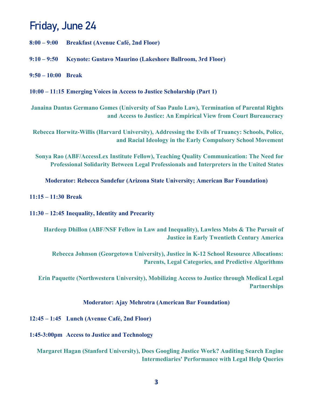### Friday, June 24

- **8:00 9:00 Breakfast (Avenue Café, 2nd Floor)**
- **9:10 9:50 Keynote: Gustavo Maurino (Lakeshore Ballroom, 3rd Floor)**
- **9:50 10:00 Break**

**10:00 – 11:15 Emerging Voices in Access to Justice Scholarship (Part 1)** 

**Janaina Dantas Germano Gomes (University of Sao Paulo Law), Termination of Parental Rights and Access to Justice: An Empirical View from Court Bureaucracy** 

**Rebecca Horwitz-Willis (Harvard University), Addressing the Evils of Truancy: Schools, Police, and Racial Ideology in the Early Compulsory School Movement** 

**Sonya Rao (ABF/AccessLex Institute Fellow), Teaching Quality Communication: The Need for Professional Solidarity Between Legal Professionals and Interpreters in the United States** 

**Moderator: Rebecca Sandefur (Arizona State University; American Bar Foundation)** 

#### **11:15 – 11:30 Break**

**11:30 – 12:45 Inequality, Identity and Precarity** 

**Hardeep Dhillon (ABF/NSF Fellow in Law and Inequality), Lawless Mobs & The Pursuit of Justice in Early Twentieth Century America** 

**Rebecca Johnson (Georgetown University), Justice in K-12 School Resource Allocations: Parents, Legal Categories, and Predictive Algorithms** 

**Erin Paquette (Northwestern University), Mobilizing Access to Justice through Medical Legal Partnerships** 

#### **Moderator: Ajay Mehrotra (American Bar Foundation)**

**12:45 – 1:45 Lunch (Avenue Café, 2nd Floor)** 

**1:45-3:00pm Access to Justice and Technology** 

**Margaret Hagan (Stanford University), Does Googling Justice Work? Auditing Search Engine Intermediaries' Performance with Legal Help Queries**